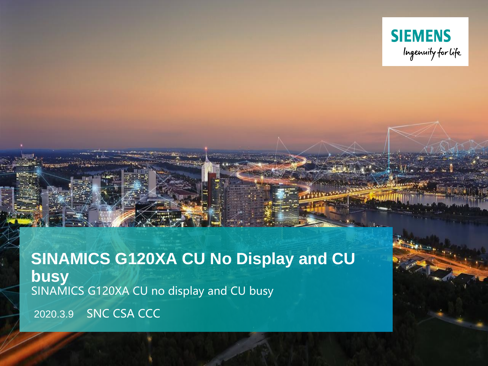

**SINAMICS G120XA CU No Display and CU busy** SINAMICS G120XA CU no display and CU busy

2020.3.9 SNC CSA CCC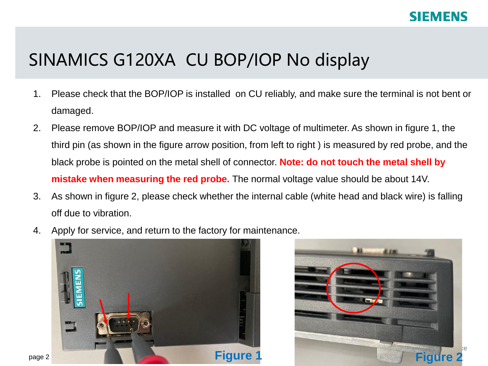## SINAMICS G120XA CU BOP/IOP No display

- 1. Please check that the BOP/IOP is installed on CU reliably, and make sure the terminal is not bent or damaged.
- 2. Please remove BOP/IOP and measure it with DC voltage of multimeter. As shown in figure 1, the third pin (as shown in the figure arrow position, from left to right ) is measured by red probe, and the black probe is pointed on the metal shell of connector. **Note: do not touch the metal shell by mistake when measuring the red probe.** The normal voltage value should be about 14V.
- 3. As shown in figure 2, please check whether the internal cable (white head and black wire) is falling off due to vibration.
- 4. Apply for service, and return to the factory for maintenance.